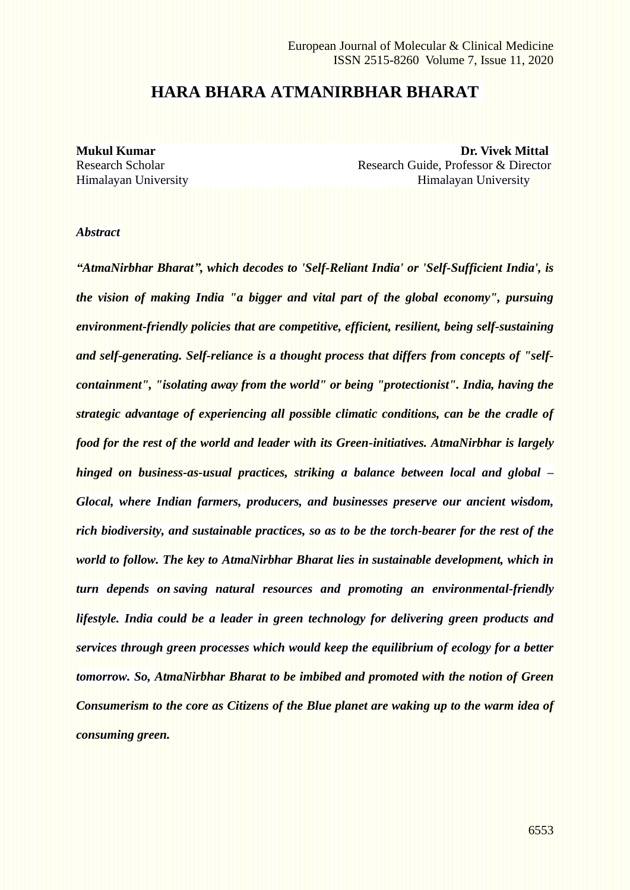# **HARA BHARA ATMANIRBHAR BHARAT**

**Mukul Kumar Dr. Vivek Mittal** Research Scholar Research Guide, Professor & Director Himalayan University Himalayan University

#### *Abstract*

*"AtmaNirbhar Bharat", which decodes to 'Self-Reliant India' or 'Self-Sufficient India', is the vision of making India "a bigger and vital part of the global economy", pursuing environment-friendly policies that are competitive, efficient, resilient, being self-sustaining and self-generating. Self-reliance is a thought process that differs from concepts of "selfcontainment", "isolating away from the world" or being "protectionist". India, having the strategic advantage of experiencing all possible climatic conditions, can be the cradle of food for the rest of the world and leader with its Green-initiatives. AtmaNirbhar is largely hinged on business-as-usual practices, striking a balance between local and global – Glocal, where Indian farmers, producers, and businesses preserve our ancient wisdom, rich biodiversity, and sustainable practices, so as to be the torch-bearer for the rest of the world to follow. The key to AtmaNirbhar Bharat lies in sustainable development, which in turn depends on saving natural resources and promoting an environmental-friendly lifestyle. India could be a leader in green technology for delivering green products and services through green processes which would keep the equilibrium of ecology for a better tomorrow. So, AtmaNirbhar Bharat to be imbibed and promoted with the notion of Green Consumerism to the core as Citizens of the Blue planet are waking up to the warm idea of consuming green.*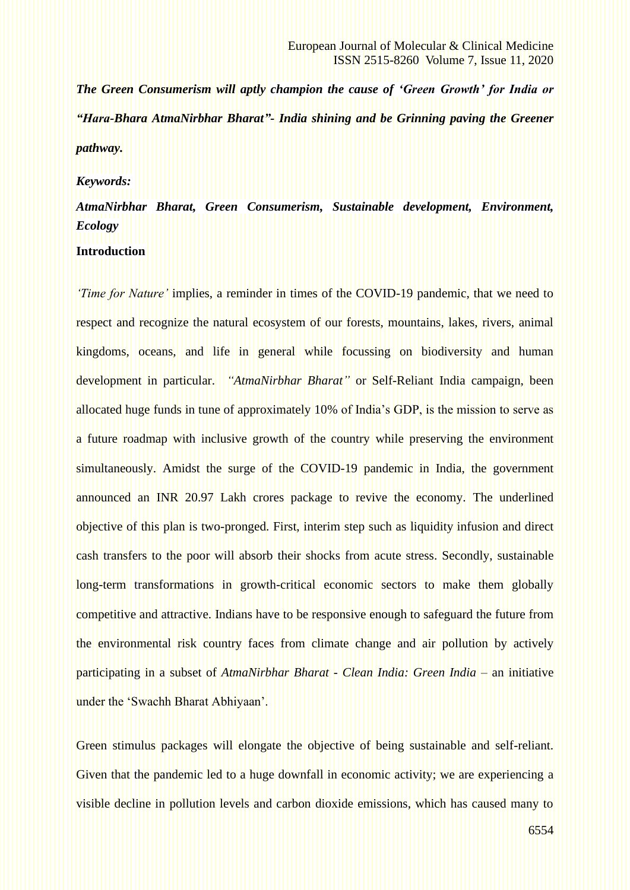*The Green Consumerism will aptly champion the cause of 'Green Growth' for India or "Hara-Bhara AtmaNirbhar Bharat"- India shining and be Grinning paving the Greener pathway.*

#### *Keywords:*

# *AtmaNirbhar Bharat, Green Consumerism, Sustainable development, Environment, Ecology* **Introduction**

*'Time for Nature'* implies, a reminder in times of the COVID-19 pandemic, that we need to respect and recognize the natural ecosystem of our forests, mountains, lakes, rivers, animal kingdoms, oceans, and life in general while focussing on biodiversity and human development in particular. *"AtmaNirbhar Bharat"* or Self-Reliant India campaign, been allocated huge funds in tune of approximately 10% of India's GDP, is the mission to serve as a future roadmap with inclusive growth of the country while preserving the environment simultaneously. Amidst the surge of the COVID-19 pandemic in India, the government announced an INR 20.97 Lakh crores package to revive the economy. The underlined objective of this plan is two-pronged. First, interim step such as liquidity infusion and direct cash transfers to the poor will absorb their shocks from acute stress. Secondly, sustainable long-term transformations in growth-critical economic sectors to make them globally competitive and attractive. Indians have to be responsive enough to safeguard the future from the environmental risk country faces from climate change and air pollution by actively participating in a subset of *AtmaNirbhar Bharat* - *Clean India: Green India* – an initiative under the 'Swachh Bharat Abhiyaan'.

Green stimulus packages will elongate the objective of being sustainable and self-reliant. Given that the pandemic led to a huge downfall in economic activity; we are experiencing a visible decline in pollution levels and carbon dioxide emissions, which has caused many to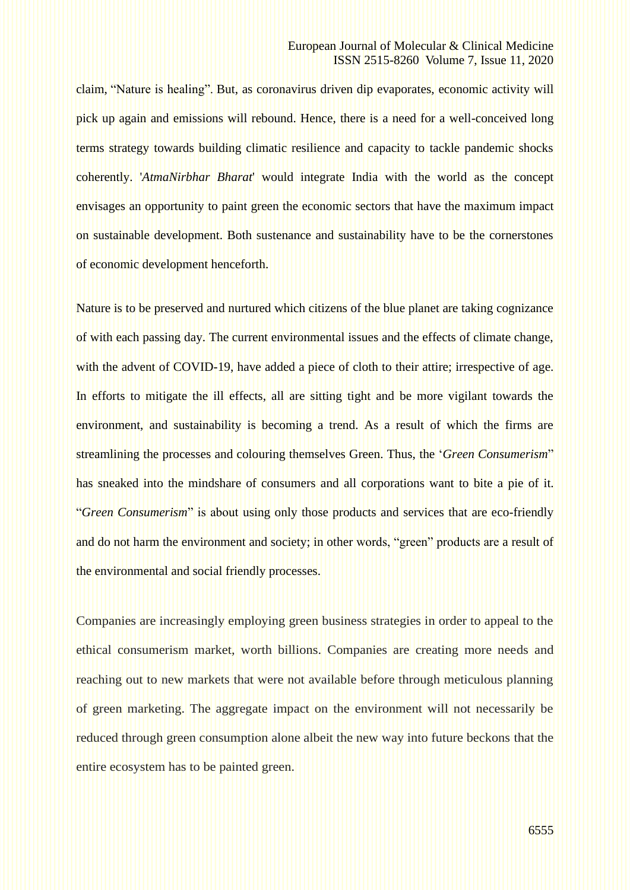claim, "Nature is healing". But, as coronavirus driven dip evaporates, economic activity will pick up again and emissions will rebound. Hence, there is a need for a well-conceived long terms strategy towards building climatic resilience and capacity to tackle pandemic shocks coherently. '*AtmaNirbhar Bharat*' would integrate India with the world as the concept envisages an opportunity to paint green the economic sectors that have the maximum impact on sustainable development. Both sustenance and sustainability have to be the cornerstones of economic development henceforth.

Nature is to be preserved and nurtured which citizens of the blue planet are taking cognizance of with each passing day. The current environmental issues and the effects of climate change, with the advent of COVID-19, have added a piece of cloth to their attire; irrespective of age. In efforts to mitigate the ill effects, all are sitting tight and be more vigilant towards the environment, and sustainability is becoming a trend. As a result of which the firms are streamlining the processes and colouring themselves Green. Thus, the '*Green Consumerism*" has sneaked into the mindshare of consumers and all corporations want to bite a pie of it. "*Green Consumerism*" is about using only those products and services that are eco-friendly and do not harm the environment and society; in other words, "green" products are a result of the environmental and social friendly processes.

Companies are increasingly employing green business strategies in order to appeal to the ethical consumerism market, worth billions. Companies are creating more needs and reaching out to new markets that were not available before through meticulous planning of green marketing. The aggregate impact on the environment will not necessarily be reduced through green consumption alone albeit the new way into future beckons that the entire ecosystem has to be painted green.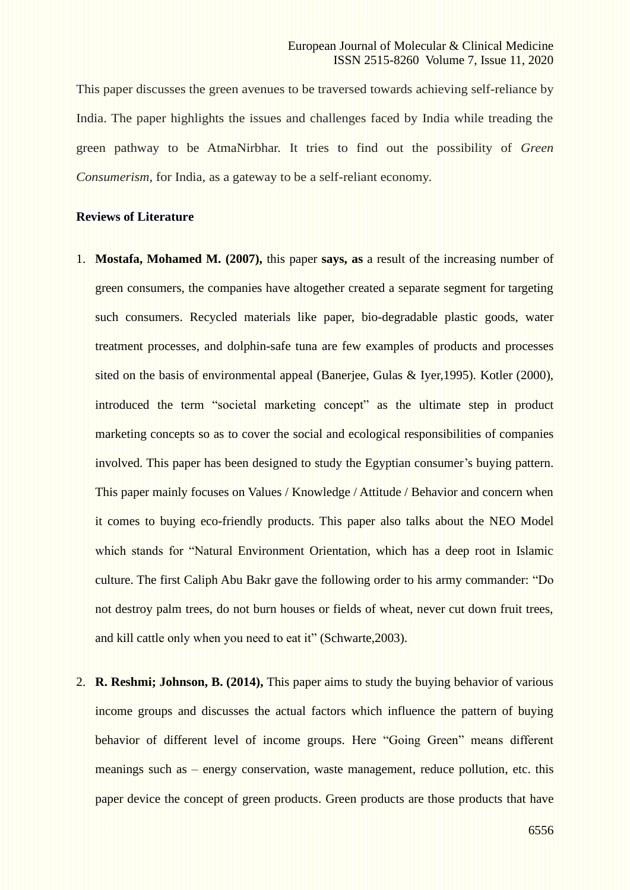This paper discusses the green avenues to be traversed towards achieving self-reliance by India. The paper highlights the issues and challenges faced by India while treading the green pathway to be AtmaNirbhar. It tries to find out the possibility of *Green Consumerism*, for India, as a gateway to be a self-reliant economy.

### **Reviews of Literature**

- 1. **Mostafa, Mohamed M. (2007),** this paper **says, as** a result of the increasing number of green consumers, the companies have altogether created a separate segment for targeting such consumers. Recycled materials like paper, bio-degradable plastic goods, water treatment processes, and dolphin-safe tuna are few examples of products and processes sited on the basis of environmental appeal (Banerjee, Gulas & Iyer,1995). Kotler (2000), introduced the term "societal marketing concept" as the ultimate step in product marketing concepts so as to cover the social and ecological responsibilities of companies involved. This paper has been designed to study the Egyptian consumer's buying pattern. This paper mainly focuses on Values / Knowledge / Attitude / Behavior and concern when it comes to buying eco-friendly products. This paper also talks about the NEO Model which stands for "Natural Environment Orientation, which has a deep root in Islamic culture. The first Caliph Abu Bakr gave the following order to his army commander: "Do not destroy palm trees, do not burn houses or fields of wheat, never cut down fruit trees, and kill cattle only when you need to eat it" (Schwarte,2003).
- 2. **R. Reshmi; Johnson, B. (2014),** This paper aims to study the buying behavior of various income groups and discusses the actual factors which influence the pattern of buying behavior of different level of income groups. Here "Going Green" means different meanings such as – energy conservation, waste management, reduce pollution, etc. this paper device the concept of green products. Green products are those products that have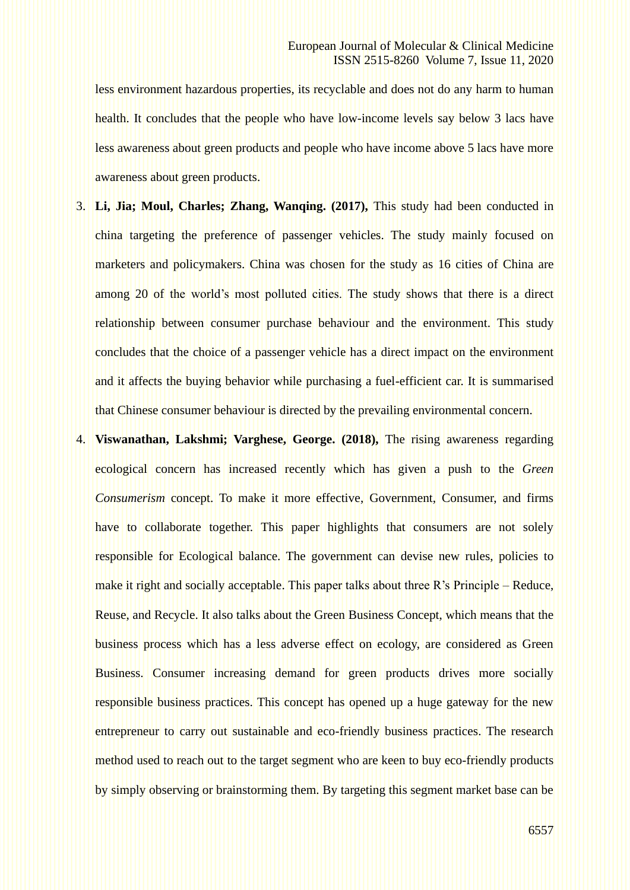less environment hazardous properties, its recyclable and does not do any harm to human health. It concludes that the people who have low-income levels say below 3 lacs have less awareness about green products and people who have income above 5 lacs have more awareness about green products.

- 3. **Li, Jia; Moul, Charles; Zhang, Wanqing. (2017),** This study had been conducted in china targeting the preference of passenger vehicles. The study mainly focused on marketers and policymakers. China was chosen for the study as 16 cities of China are among 20 of the world's most polluted cities. The study shows that there is a direct relationship between consumer purchase behaviour and the environment. This study concludes that the choice of a passenger vehicle has a direct impact on the environment and it affects the buying behavior while purchasing a fuel-efficient car. It is summarised that Chinese consumer behaviour is directed by the prevailing environmental concern.
- 4. **Viswanathan, Lakshmi; Varghese, George. (2018),** The rising awareness regarding ecological concern has increased recently which has given a push to the *Green Consumerism* concept. To make it more effective, Government, Consumer, and firms have to collaborate together. This paper highlights that consumers are not solely responsible for Ecological balance. The government can devise new rules, policies to make it right and socially acceptable. This paper talks about three R's Principle – Reduce, Reuse, and Recycle. It also talks about the Green Business Concept, which means that the business process which has a less adverse effect on ecology, are considered as Green Business. Consumer increasing demand for green products drives more socially responsible business practices. This concept has opened up a huge gateway for the new entrepreneur to carry out sustainable and eco-friendly business practices. The research method used to reach out to the target segment who are keen to buy eco-friendly products by simply observing or brainstorming them. By targeting this segment market base can be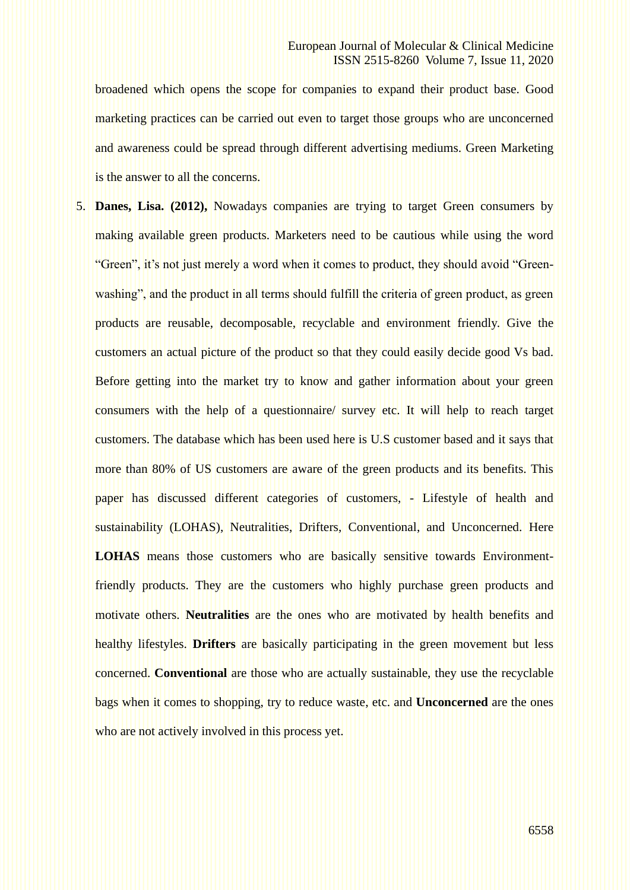broadened which opens the scope for companies to expand their product base. Good marketing practices can be carried out even to target those groups who are unconcerned and awareness could be spread through different advertising mediums. Green Marketing is the answer to all the concerns.

5. **Danes, Lisa. (2012),** Nowadays companies are trying to target Green consumers by making available green products. Marketers need to be cautious while using the word "Green", it's not just merely a word when it comes to product, they should avoid "Greenwashing", and the product in all terms should fulfill the criteria of green product, as green products are reusable, decomposable, recyclable and environment friendly. Give the customers an actual picture of the product so that they could easily decide good Vs bad. Before getting into the market try to know and gather information about your green consumers with the help of a questionnaire/ survey etc. It will help to reach target customers. The database which has been used here is U.S customer based and it says that more than 80% of US customers are aware of the green products and its benefits. This paper has discussed different categories of customers, - Lifestyle of health and sustainability (LOHAS), Neutralities, Drifters, Conventional, and Unconcerned. Here **LOHAS** means those customers who are basically sensitive towards Environmentfriendly products. They are the customers who highly purchase green products and motivate others. **Neutralities** are the ones who are motivated by health benefits and healthy lifestyles. **Drifters** are basically participating in the green movement but less concerned. **Conventional** are those who are actually sustainable, they use the recyclable bags when it comes to shopping, try to reduce waste, etc. and **Unconcerned** are the ones who are not actively involved in this process yet.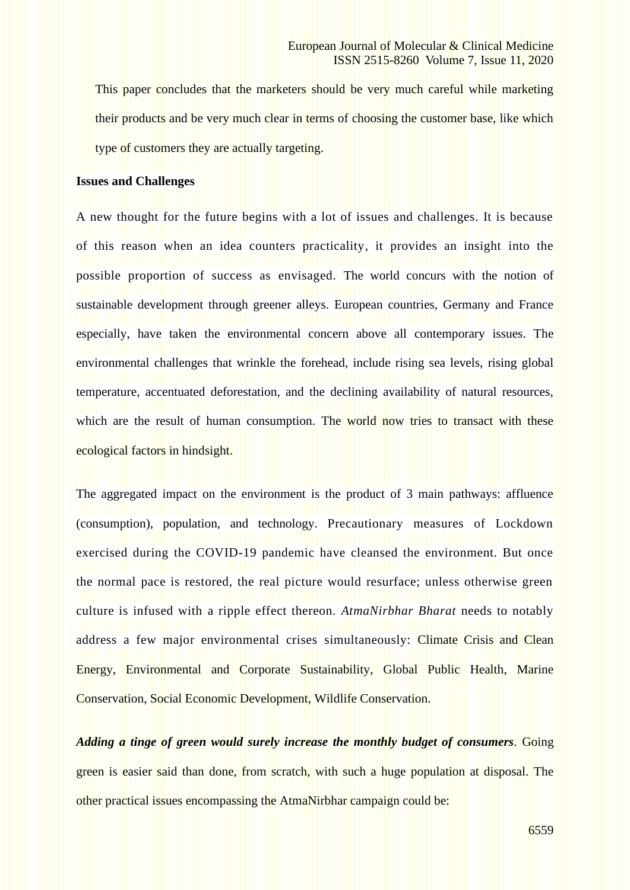This paper concludes that the marketers should be very much careful while marketing their products and be very much clear in terms of choosing the customer base, like which type of customers they are actually targeting.

### **Issues and Challenges**

A new thought for the future begins with a lot of issues and challenges. It is because of this reason when an idea counters practicality, it provides an insight into the possible proportion of success as envisaged. The world concurs with the notion of sustainable development through greener alleys. European countries, Germany and France especially, have taken the environmental concern above all contemporary issues. The environmental challenges that wrinkle the forehead, include rising sea levels, rising global temperature, accentuated deforestation, and the declining availability of natural resources, which are the result of human consumption. The world now tries to transact with these ecological factors in hindsight.

The aggregated impact on the environment is the product of 3 main pathways: affluence (consumption), population, and technology. Precautionary measures of Lockdown exercised during the COVID-19 pandemic have cleansed the environment. But once the normal pace is restored, the real picture would resurface; unless otherwise green culture is infused with a ripple effect thereon. *AtmaNirbhar Bharat* needs to notably address a few major environmental crises simultaneously: Climate Crisis and Clean Energy, Environmental and Corporate Sustainability, Global Public Health, Marine Conservation, Social Economic Development, Wildlife Conservation.

*Adding a tinge of green would surely increase the monthly budget of consumers.* Going green is easier said than done, from scratch, with such a huge population at disposal. The other practical issues encompassing the AtmaNirbhar campaign could be: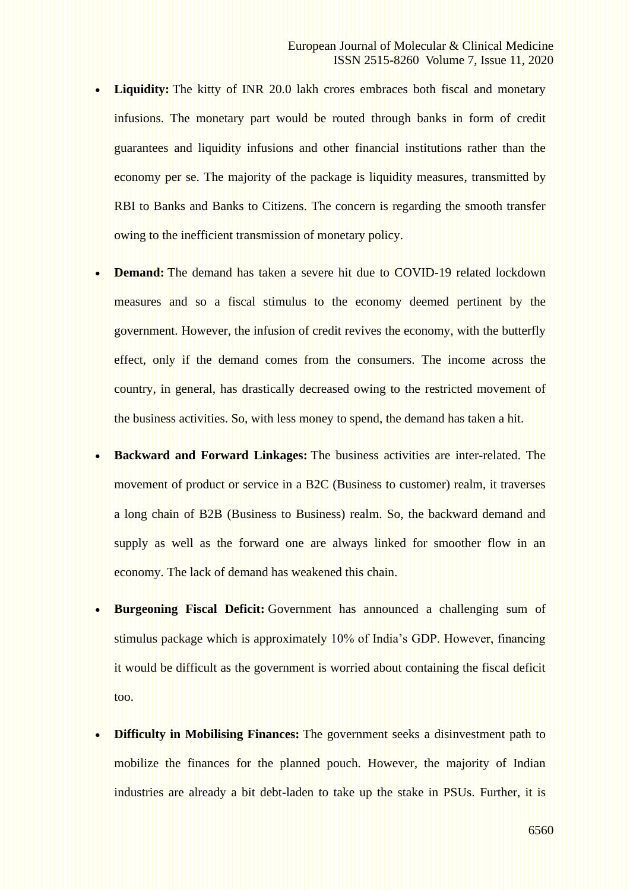- **Liquidity:** The kitty of INR 20.0 lakh crores embraces both fiscal and monetary infusions. The monetary part would be routed through banks in form of credit guarantees and liquidity infusions and other financial institutions rather than the economy per se. The majority of the package is liquidity measures, transmitted by RBI to Banks and Banks to Citizens. The concern is regarding the smooth transfer owing to the inefficient transmission of monetary policy.
- **Demand:** The demand has taken a severe hit due to COVID-19 related lockdown measures and so a fiscal stimulus to the economy deemed pertinent by the government. However, the infusion of credit revives the economy, with the butterfly effect, only if the demand comes from the consumers. The income across the country, in general, has drastically decreased owing to the restricted movement of the business activities. So, with less money to spend, the demand has taken a hit.
- **Backward and Forward Linkages:** The business activities are inter-related. The movement of product or service in a B2C (Business to customer) realm, it traverses a long chain of B2B (Business to Business) realm. So, the backward demand and supply as well as the forward one are always linked for smoother flow in an economy. The lack of demand has weakened this chain.
- **Burgeoning Fiscal Deficit:** Government has announced a challenging sum of stimulus package which is approximately 10% of India's GDP. However, financing it would be difficult as the government is worried about containing the fiscal deficit too.
- **Difficulty in Mobilising Finances:** The government seeks a disinvestment path to mobilize the finances for the planned pouch. However, the majority of Indian industries are already a bit debt-laden to take up the stake in PSUs. Further, it is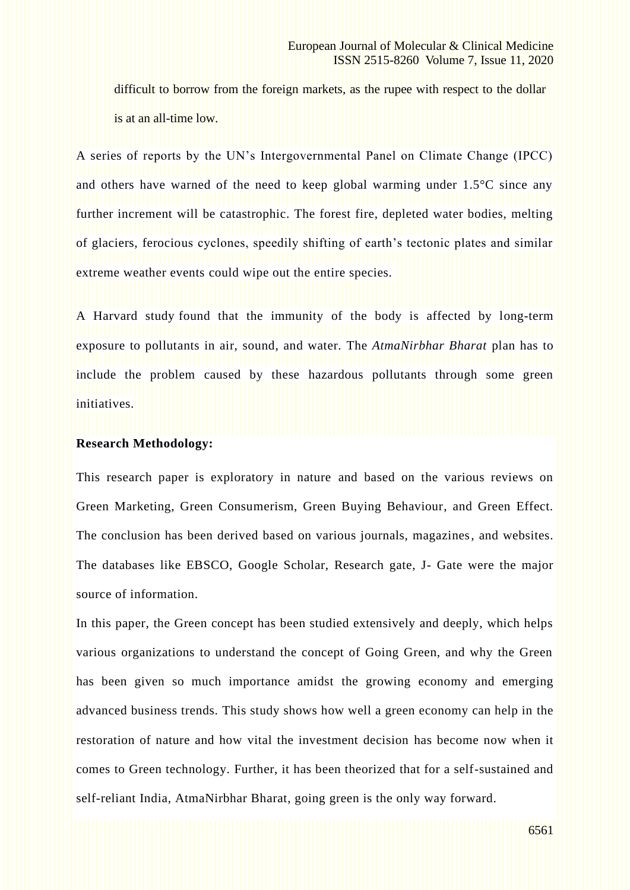difficult to borrow from the foreign markets, as the rupee with respect to the dollar is at an all-time low.

A series of reports by the UN's Intergovernmental Panel on Climate Change (IPCC) and others have warned of the need to keep global warming under 1.5°C since any further increment will be catastrophic. The forest fire, depleted water bodies, melting of glaciers, ferocious cyclones, speedily shifting of earth's tectonic plates and similar extreme weather events could wipe out the entire species.

A Harvard study found that the immunity of the body is affected by long-term exposure to pollutants in air, sound, and water. The *AtmaNirbhar Bharat* plan has to include the problem caused by these hazardous pollutants through some green initiatives.

# **Research Methodology:**

This research paper is exploratory in nature and based on the various reviews on Green Marketing, Green Consumerism, Green Buying Behaviour, and Green Effect. The conclusion has been derived based on various journals, magazines, and websites. The databases like EBSCO, Google Scholar, Research gate, J- Gate were the major source of information.

In this paper, the Green concept has been studied extensively and deeply, which helps various organizations to understand the concept of Going Green, and why the Green has been given so much importance amidst the growing economy and emerging advanced business trends. This study shows how well a green economy can help in the restoration of nature and how vital the investment decision has become now when it comes to Green technology. Further, it has been theorized that for a self-sustained and self-reliant India, AtmaNirbhar Bharat, going green is the only way forward.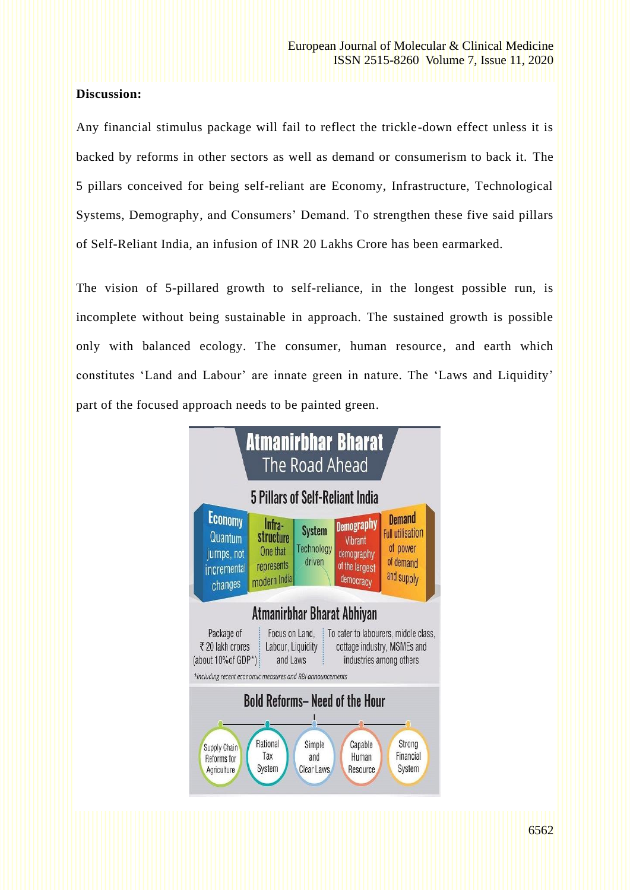# **Discussion:**

Any financial stimulus package will fail to reflect the trickle-down effect unless it is backed by reforms in other sectors as well as demand or consumerism to back it. The 5 pillars conceived for being self-reliant are Economy, Infrastructure, Technological Systems, Demography, and Consumers' Demand. To strengthen these five said pillars of Self-Reliant India, an infusion of INR 20 Lakhs Crore has been earmarked.

The vision of 5-pillared growth to self-reliance, in the longest possible run, is incomplete without being sustainable in approach. The sustained growth is possible only with balanced ecology. The consumer, human resource, and earth which constitutes 'Land and Labour' are innate green in nature. The 'Laws and Liquidity' part of the focused approach needs to be painted green.

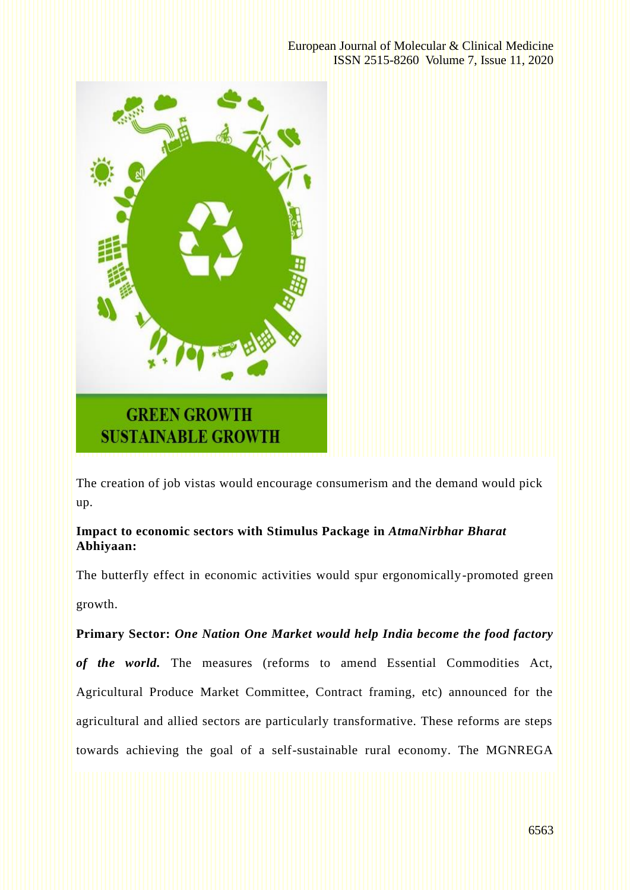

The creation of job vistas would encourage consumerism and the demand would pick up.

# **Impact to economic sectors with Stimulus Package in** *AtmaNirbhar Bharat* **Abhiyaan:**

The butterfly effect in economic activities would spur ergonomically-promoted green growth.

# **Primary Sector:** *One Nation One Market would help India become the food factory*

*of the world.* The measures (reforms to amend Essential Commodities Act, Agricultural Produce Market Committee, Contract framing, etc) announced for the agricultural and allied sectors are particularly transformative. These reforms are steps towards achieving the goal of a self-sustainable rural economy. The MGNREGA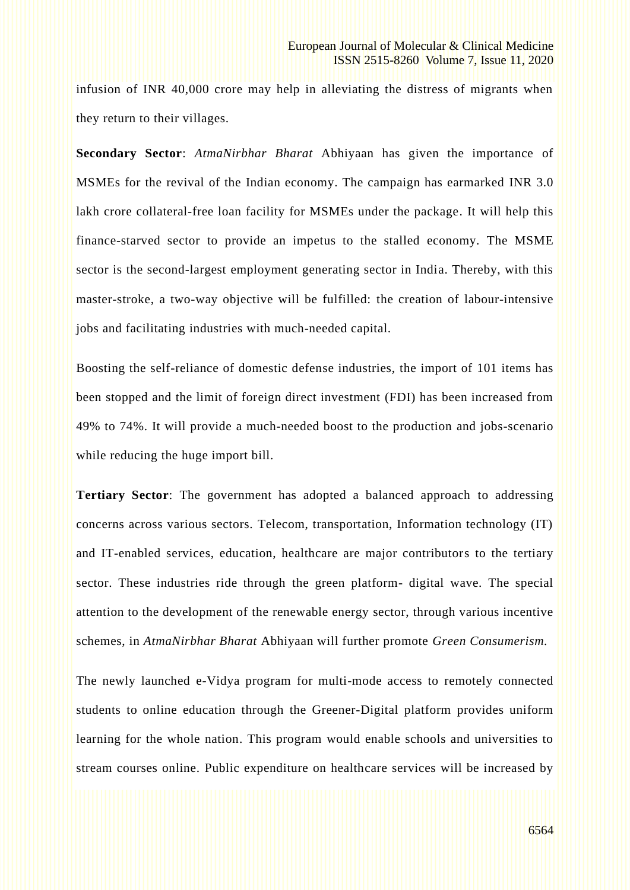infusion of INR 40,000 crore may help in alleviating the distress of migrants when they return to their villages.

**Secondary Sector**: *AtmaNirbhar Bharat* Abhiyaan has given the importance of MSMEs for the revival of the Indian economy. The campaign has earmarked INR 3.0 lakh crore collateral-free loan facility for MSMEs under the package. It will help this finance-starved sector to provide an impetus to the stalled economy. The MSME sector is the second-largest employment generating sector in India. Thereby, with this master-stroke, a two-way objective will be fulfilled: the creation of labour-intensive jobs and facilitating industries with much-needed capital.

Boosting the self-reliance of domestic defense industries, the import of 101 items has been stopped and the limit of foreign direct investment (FDI) has been increased from 49% to 74%. It will provide a much-needed boost to the production and jobs-scenario while reducing the huge import bill.

**Tertiary Sector**: The government has adopted a balanced approach to addressing concerns across various sectors. Telecom, transportation, Information technology (IT) and IT-enabled services, education, healthcare are major contributors to the tertiary sector. These industries ride through the green platform- digital wave. The special attention to the development of the renewable energy sector, through various incentive schemes, in *AtmaNirbhar Bharat* Abhiyaan will further promote *Green Consumerism.*

The newly launched e-Vidya program for multi-mode access to remotely connected students to online education through the Greener-Digital platform provides uniform learning for the whole nation. This program would enable schools and universities to stream courses online. Public expenditure on healthcare services will be increased by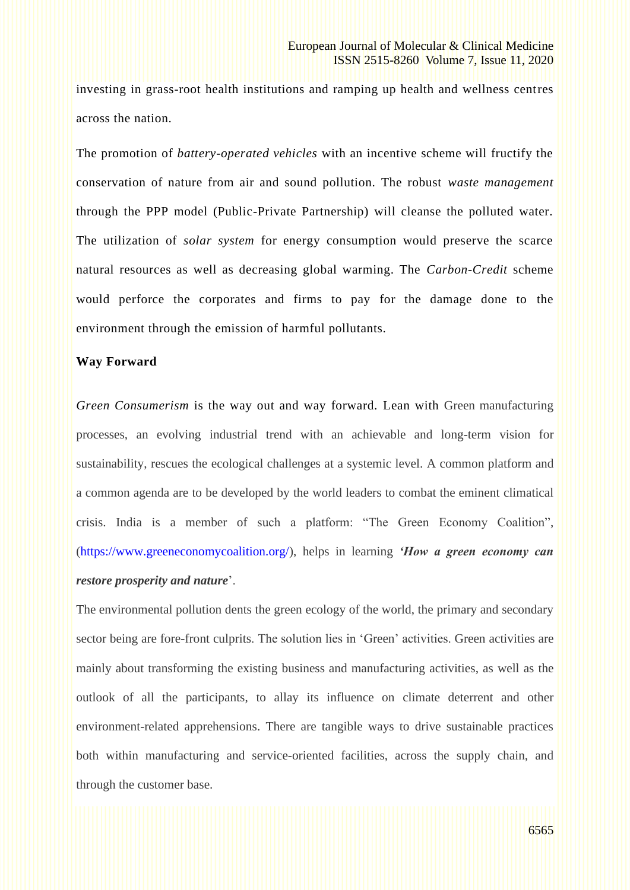investing in grass-root health institutions and ramping up health and wellness centres across the nation.

The promotion of *battery-operated vehicles* with an incentive scheme will fructify the conservation of nature from air and sound pollution. The robust *waste management* through the PPP model (Public-Private Partnership) will cleanse the polluted water. The utilization of *solar system* for energy consumption would preserve the scarce natural resources as well as decreasing global warming. The *Carbon-Credit* scheme would perforce the corporates and firms to pay for the damage done to the environment through the emission of harmful pollutants.

## **Way Forward**

*Green Consumerism* is the way out and way forward. Lean with Green manufacturing processes, an evolving industrial trend with an achievable and long-term vision for sustainability, rescues the ecological challenges at a systemic level. A common platform and a common agenda are to be developed by the world leaders to combat the eminent climatical crisis. India is a member of such a platform: "The Green Economy Coalition", [\(https://www.greeneconomycoalition.org/\)](https://www.greeneconomycoalition.org/), helps in learning *'How a green economy can restore prosperity and nature*'.

The environmental pollution dents the green ecology of the world, the primary and secondary sector being are fore-front culprits. The solution lies in 'Green' activities. Green activities are mainly about transforming the existing business and manufacturing activities, as well as the outlook of all the participants, to allay its influence on climate deterrent and other environment-related apprehensions. There are tangible ways to drive sustainable practices both within manufacturing and service-oriented facilities, across the supply chain, and through the customer base.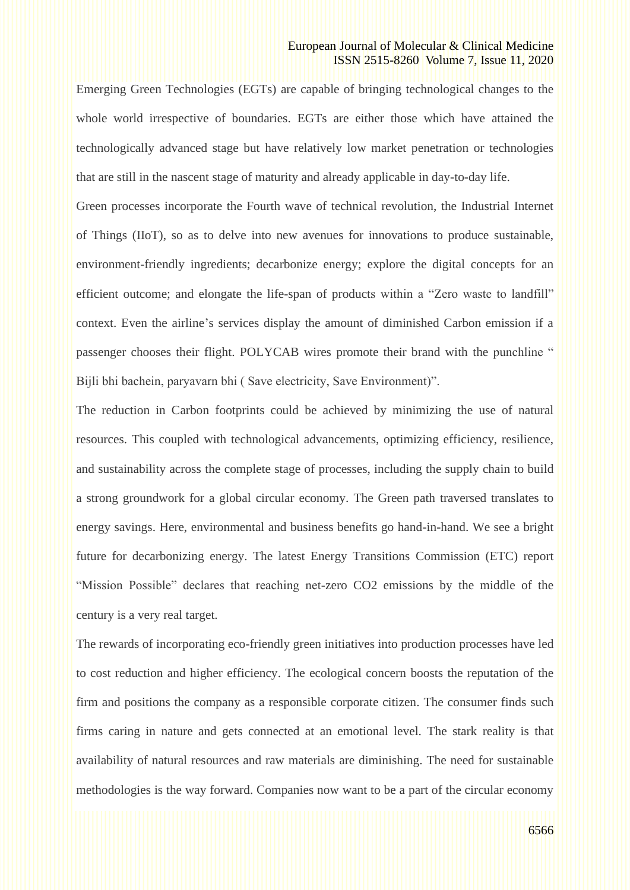#### European Journal of Molecular & Clinical Medicine ISSN 2515-8260 Volume 7, Issue 11, 2020

Emerging Green Technologies (EGTs) are capable of bringing technological changes to the whole world irrespective of boundaries. EGTs are either those which have attained the technologically advanced stage but have relatively low market penetration or technologies that are still in the nascent stage of maturity and already applicable in day-to-day life.

Green processes incorporate the Fourth wave of technical revolution, the Industrial Internet of Things (IIoT), so as to delve into new avenues for innovations to produce sustainable, environment-friendly ingredients; decarbonize energy; explore the digital concepts for an efficient outcome; and elongate the life-span of products within a "Zero waste to landfill" context. Even the airline's services display the amount of diminished Carbon emission if a passenger chooses their flight. POLYCAB wires promote their brand with the punchline " Bijli bhi bachein, paryavarn bhi ( Save electricity, Save Environment)".

The reduction in Carbon footprints could be achieved by minimizing the use of natural resources. This coupled with technological advancements, optimizing efficiency, resilience, and sustainability across the complete stage of processes, including the supply chain to build a strong groundwork for a global circular economy. The Green path traversed translates to energy savings. Here, environmental and business benefits go hand-in-hand. We see a bright future for decarbonizing energy. The latest Energy Transitions Commission (ETC) report "Mission Possible" declares that reaching net-zero CO2 emissions by the middle of the century is a very real target.

The rewards of incorporating eco-friendly green initiatives into production processes have led to cost reduction and higher efficiency. The ecological concern boosts the reputation of the firm and positions the company as a responsible corporate citizen. The consumer finds such firms caring in nature and gets connected at an emotional level. The stark reality is that availability of natural resources and raw materials are diminishing. The need for sustainable methodologies is the way forward. Companies now want to be a part of the circular economy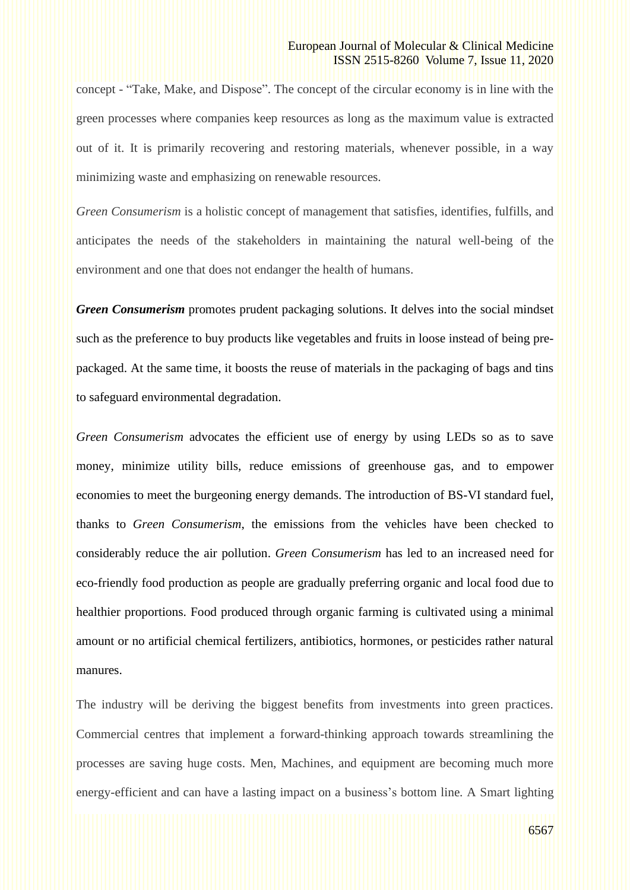concept - "Take, Make, and Dispose". The concept of the circular economy is in line with the green processes where companies keep resources as long as the maximum value is extracted out of it. It is primarily recovering and restoring materials, whenever possible, in a way minimizing waste and emphasizing on renewable resources.

*Green Consumerism* is a holistic concept of management that satisfies, identifies, fulfills, and anticipates the needs of the stakeholders in maintaining the natural well-being of the environment and one that does not endanger the health of humans.

*Green Consumerism* promotes prudent packaging solutions. It delves into the social mindset such as the preference to buy products like vegetables and fruits in loose instead of being prepackaged. At the same time, it boosts the reuse of materials in the packaging of bags and tins to safeguard environmental degradation.

*Green Consumerism* advocates the efficient use of energy by using LEDs so as to save money, minimize utility bills, reduce emissions of greenhouse gas, and to empower economies to meet the burgeoning energy demands. The introduction of BS-VI standard fuel, thanks to *Green Consumerism*, the emissions from the vehicles have been checked to considerably reduce the air pollution. *Green Consumerism* has led to an increased need for eco-friendly food production as people are gradually preferring organic and local food due to healthier proportions. Food produced through organic farming is cultivated using a minimal amount or no artificial chemical fertilizers, antibiotics, hormones, or pesticides rather natural manures.

The industry will be deriving the biggest benefits from investments into green practices. Commercial centres that implement a forward-thinking approach towards streamlining the processes are saving huge costs. Men, Machines, and equipment are becoming much more energy-efficient and can have a lasting impact on a business's bottom line. A Smart lighting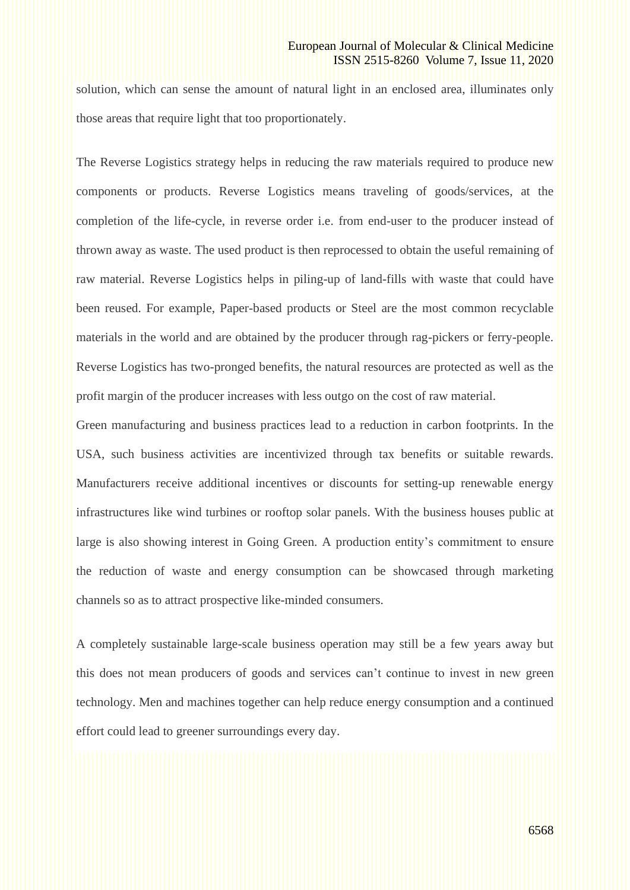solution, which can sense the amount of natural light in an enclosed area, illuminates only those areas that require light that too proportionately.

The Reverse Logistics strategy helps in reducing the raw materials required to produce new components or products. Reverse Logistics means traveling of goods/services, at the completion of the life-cycle, in reverse order i.e. from end-user to the producer instead of thrown away as waste. The used product is then reprocessed to obtain the useful remaining of raw material. Reverse Logistics helps in piling-up of land-fills with waste that could have been reused. For example, Paper-based products or Steel are the most common recyclable materials in the world and are obtained by the producer through rag-pickers or ferry-people. Reverse Logistics has two-pronged benefits, the natural resources are protected as well as the profit margin of the producer increases with less outgo on the cost of raw material.

Green manufacturing and business practices lead to a reduction in carbon footprints. In the USA, such business activities are incentivized through tax benefits or suitable rewards. Manufacturers receive additional incentives or discounts for setting-up renewable energy infrastructures like wind turbines or rooftop solar panels. With the business houses public at large is also showing interest in Going Green. A production entity's commitment to ensure the reduction of waste and energy consumption can be showcased through marketing channels so as to attract prospective like-minded consumers.

A completely sustainable large-scale business operation may still be a few years away but this does not mean producers of goods and services can't continue to invest in new green technology. Men and machines together can help reduce energy consumption and a continued effort could lead to greener surroundings every day.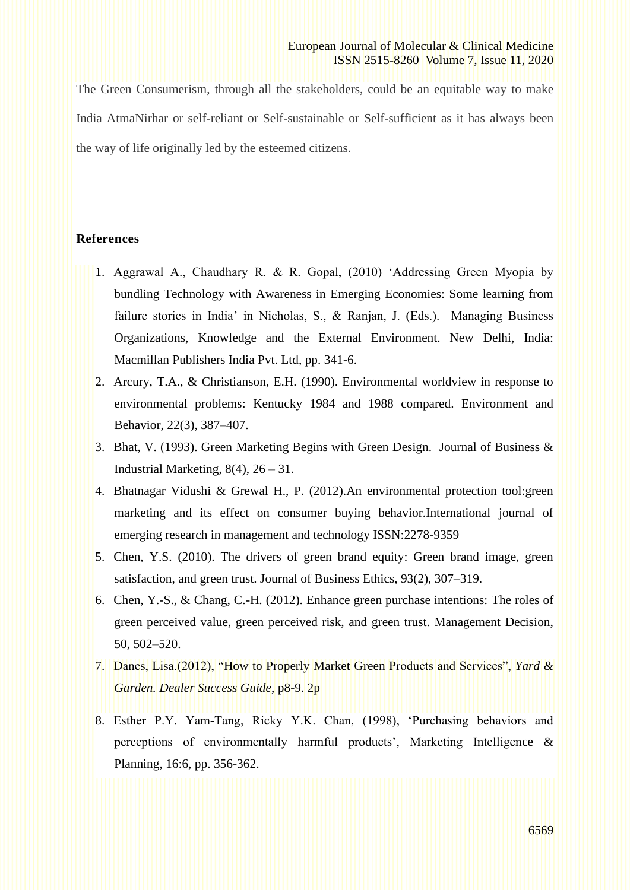### European Journal of Molecular & Clinical Medicine ISSN 2515-8260 Volume 7, Issue 11, 2020

The Green Consumerism, through all the stakeholders, could be an equitable way to make India AtmaNirhar or self-reliant or Self-sustainable or Self-sufficient as it has always been the way of life originally led by the esteemed citizens.

# **References**

- 1. Aggrawal A., Chaudhary R. & R. Gopal, (2010) 'Addressing Green Myopia by bundling Technology with Awareness in Emerging Economies: Some learning from failure stories in India' in Nicholas, S., & Ranjan, J. (Eds.). Managing Business Organizations, Knowledge and the External Environment. New Delhi, India: Macmillan Publishers India Pvt. Ltd, pp. 341-6.
	- 2. Arcury, T.A., & Christianson, E.H. (1990). Environmental worldview in response to environmental problems: Kentucky 1984 and 1988 compared. Environment and Behavior, 22(3), 387–407.
	- 3. Bhat, V. (1993). Green Marketing Begins with Green Design. Journal of Business & Industrial Marketing,  $8(4)$ ,  $26 - 31$ .
	- 4. Bhatnagar Vidushi & Grewal H., P. (2012).An environmental protection tool:green marketing and its effect on consumer buying behavior.International journal of emerging research in management and technology ISSN:2278-9359
	- 5. Chen, Y.S. (2010). The drivers of green brand equity: Green brand image, green satisfaction, and green trust. Journal of Business Ethics, 93(2), 307–319.
	- 6. Chen, Y.-S., & Chang, C.-H. (2012). Enhance green purchase intentions: The roles of green perceived value, green perceived risk, and green trust. Management Decision, 50, 502–520.
	- 7. Danes, Lisa.(2012), ["How to Properly Market Green](http://web.b.ebscohost.com/ehost/viewarticle/render?data=dGJyMPPp44rp2%2fdV0%2bnjisfk5Ie46bJNs6%2b0T7Kk63nn5Kx95uXxjL6vrUm0pbBIsKaeSbCwr1G4qK84zsOkjPDX7Ivf2fKB7eTnfLujr0%2bxqLRQtaexTKTi34bls%2bOGpNrgVeDZ5j7y1%2bVVv8Skeeyztkq1rLNMt6%2bkfu3o63nys%2bSN6uLyffbq&vid=11&sid=f52aac8c-d4b9-4846-a9cb-df0a71454d7f@pdc-v-sessmgr02) Products and Services", *Yard & Garden. Dealer Success Guide*, p8-9. 2p
	- 8. Esther P.Y. Yam‐Tang, Ricky Y.K. Chan, (1998), 'Purchasing behaviors and perceptions of environmentally harmful products', Marketing Intelligence & Planning, 16:6, pp. 356-362.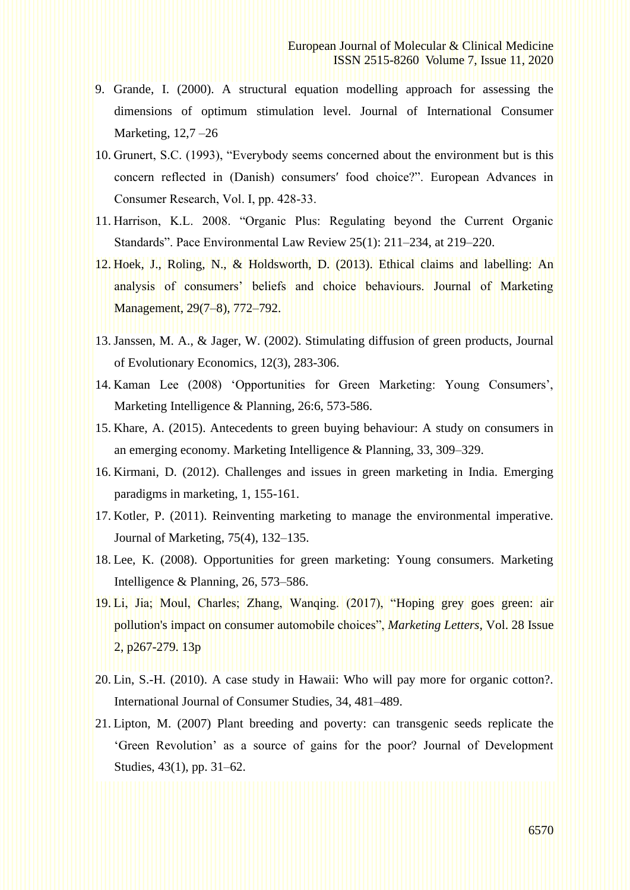- 9. Grande, I. (2000). A structural equation modelling approach for assessing the dimensions of optimum stimulation level. Journal of International Consumer Marketing, 12,7 –26
- 10. Grunert, S.C. (1993), "Everybody seems concerned about the environment but is this concern reflected in (Danish) consumers′ food choice?". European Advances in Consumer Research, Vol. I, pp. 428‐33.
- 11. Harrison, K.L. 2008. "Organic Plus: Regulating beyond the Current Organic Standards". Pace Environmental Law Review 25(1): 211–234, at 219–220.
- 12. Hoek, J., Roling, N., & Holdsworth, D. (2013). Ethical claims and labelling: An analysis of consumers' beliefs and choice behaviours. Journal of Marketing Management, 29(7–8), 772–792.
- 13. Janssen, M. A., & Jager, W. (2002). Stimulating diffusion of green products, Journal of Evolutionary Economics, 12(3), 283-306.
- 14. Kaman Lee (2008) 'Opportunities for Green Marketing: Young Consumers', Marketing Intelligence & Planning, 26:6, 573-586.
- 15. Khare, A. (2015). Antecedents to green buying behaviour: A study on consumers in an emerging economy. Marketing Intelligence & Planning, 33, 309–329.
- 16. Kirmani, D. (2012). Challenges and issues in green marketing in India. Emerging paradigms in marketing, 1, 155-161.
- 17. Kotler, P. (2011). Reinventing marketing to manage the environmental imperative. Journal of Marketing, 75(4), 132–135.
- 18. Lee, K. (2008). Opportunities for green marketing: Young consumers. Marketing Intelligence & Planning, 26, 573–586.
- 19. Li, Jia; Moul, Charles; Zhang, Wanqing. (2017), ["Hoping grey goes green: air](http://web.b.ebscohost.com/ehost/viewarticle/render?data=dGJyMPPp44rp2%2fdV0%2bnjisfk5Ie46bJNs6%2b0T7Kk63nn5Kx95uXxjL6vrUm0pbBIsKaeSbCwr1G4qK84zsOkjPDX7Ivf2fKB7eTnfLujr0%2bxqLRQtaexTKTi34bls%2bOGpNrgVeDZ5j7y1%2bVVv8Skeeyzr0qwrrNQtquvPuTl8IXf6rt%2b8%2bLqjOPu8gAA&vid=11&sid=f52aac8c-d4b9-4846-a9cb-df0a71454d7f@pdc-v-sessmgr02)  pollution's impact on consumer [automobile choices",](http://web.b.ebscohost.com/ehost/viewarticle/render?data=dGJyMPPp44rp2%2fdV0%2bnjisfk5Ie46bJNs6%2b0T7Kk63nn5Kx95uXxjL6vrUm0pbBIsKaeSbCwr1G4qK84zsOkjPDX7Ivf2fKB7eTnfLujr0%2bxqLRQtaexTKTi34bls%2bOGpNrgVeDZ5j7y1%2bVVv8Skeeyzr0qwrrNQtquvPuTl8IXf6rt%2b8%2bLqjOPu8gAA&vid=11&sid=f52aac8c-d4b9-4846-a9cb-df0a71454d7f@pdc-v-sessmgr02) *Marketing Letters*, Vol. 28 Issue 2, p267-279. 13p
- 20. Lin, S.-H. (2010). A case study in Hawaii: Who will pay more for organic cotton?. International Journal of Consumer Studies, 34, 481–489.
- 21. Lipton, M. (2007) Plant breeding and poverty: can transgenic seeds replicate the 'Green Revolution' as a source of gains for the poor? Journal of Development Studies, 43(1), pp. 31–62.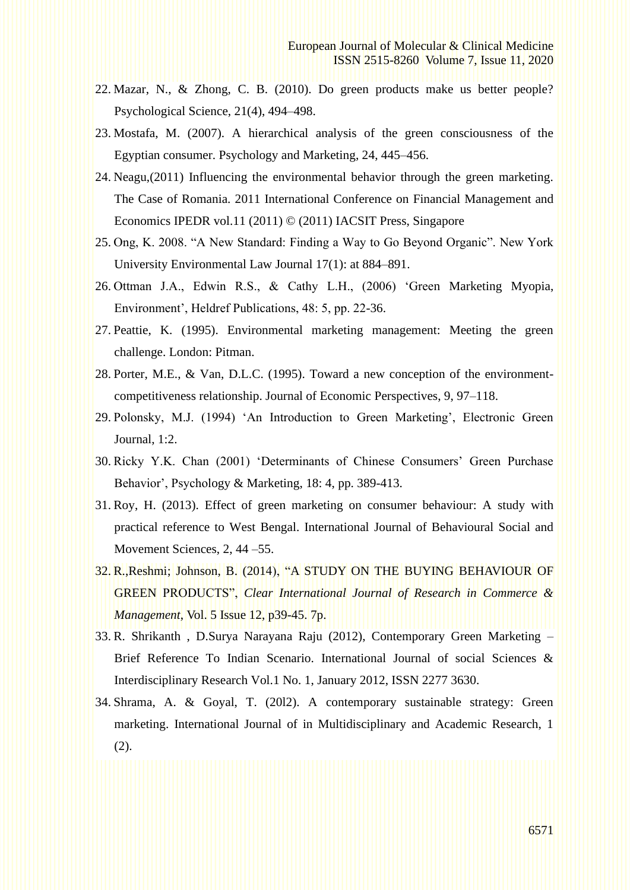- 22. Mazar, N., & Zhong, C. B. (2010). Do green products make us better people? Psychological Science, 21(4), 494–498.
- 23. Mostafa, M. (2007). A hierarchical analysis of the green consciousness of the Egyptian consumer. Psychology and Marketing, 24, 445–456.
- 24. Neagu,(2011) Influencing the environmental behavior through the green marketing. The Case of Romania. 2011 International Conference on Financial Management and Economics IPEDR vol.11 (2011) © (2011) IACSIT Press, Singapore
- 25. Ong, K. 2008. "A New Standard: Finding a Way to Go Beyond Organic". New York University Environmental Law Journal 17(1): at 884–891.
- 26. Ottman J.A., Edwin R.S., & Cathy L.H., (2006) 'Green Marketing Myopia, Environment', Heldref Publications, 48: 5, pp. 22-36.
- 27. Peattie, K. (1995). Environmental marketing management: Meeting the green challenge. London: Pitman.
- 28. Porter, M.E., & Van, D.L.C. (1995). Toward a new conception of the environmentcompetitiveness relationship. Journal of Economic Perspectives, 9, 97–118.
- 29. Polonsky, M.J. (1994) 'An Introduction to Green Marketing', Electronic Green Journal, 1:2.
- 30. Ricky Y.K. Chan (2001) 'Determinants of Chinese Consumers' Green Purchase Behavior', Psychology & Marketing, 18: 4, pp. 389-413.
- 31. Roy, H. (2013). Effect of green marketing on consumer behaviour: A study with practical reference to West Bengal. International Journal of Behavioural Social and Movement Sciences, 2, 44 –55.
- 32. R.,Reshmi; Johnson, B. (2014), ["A STUDY ON THE BUYING](http://web.b.ebscohost.com/ehost/viewarticle/render?data=dGJyMPPp44rp2%2fdV0%2bnjisfk5Ie46bJNs6%2b0T7Kk63nn5Kx95uXxjL6vrUm0pbBIsKaeSbCwr1G4qK84zsOkjPDX7Ivf2fKB7eTnfLujr0%2bxqLRQtaexTKTi34bls%2bOGpNrgVeDZ5j7y1%2bVVv8Skeeyzr0m3rbBQt6m2PuTl8IXf6rt%2b8%2bLqjOPu8gAA&vid=11&sid=f52aac8c-d4b9-4846-a9cb-df0a71454d7f@pdc-v-sessmgr02) BEHAVIOUR OF GREEN [PRODUCTS",](http://web.b.ebscohost.com/ehost/viewarticle/render?data=dGJyMPPp44rp2%2fdV0%2bnjisfk5Ie46bJNs6%2b0T7Kk63nn5Kx95uXxjL6vrUm0pbBIsKaeSbCwr1G4qK84zsOkjPDX7Ivf2fKB7eTnfLujr0%2bxqLRQtaexTKTi34bls%2bOGpNrgVeDZ5j7y1%2bVVv8Skeeyzr0m3rbBQt6m2PuTl8IXf6rt%2b8%2bLqjOPu8gAA&vid=11&sid=f52aac8c-d4b9-4846-a9cb-df0a71454d7f@pdc-v-sessmgr02) *Clear International Journal of Research in Commerce & Management*, Vol. 5 Issue 12, p39-45. 7p.
- 33. R. Shrikanth , D.Surya Narayana Raju (2012), Contemporary Green Marketing Brief Reference To Indian Scenario. International Journal of social Sciences & Interdisciplinary Research Vol.1 No. 1, January 2012, ISSN 2277 3630.
- 34. Shrama, A. & Goyal, T. (20l2). A contemporary sustainable strategy: Green marketing. International Journal of in Multidisciplinary and Academic Research, 1 (2).